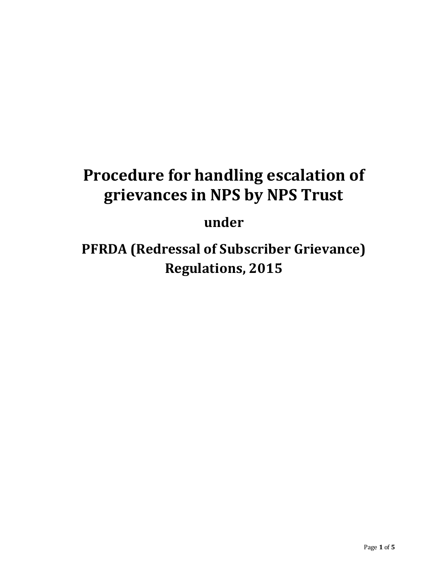# **Procedure for handling escalation of grievances in NPS by NPS Trust**

## **under**

**PFRDA (Redressal of Subscriber Grievance) Regulations, 2015**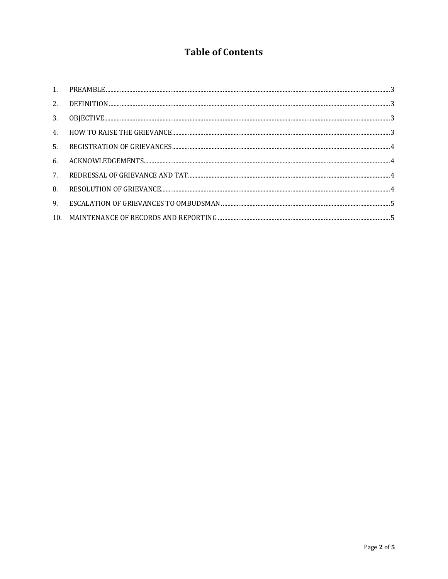### **Table of Contents**

| 2. |  |
|----|--|
| 3. |  |
|    |  |
|    |  |
| 6. |  |
| 7. |  |
| 8. |  |
| 9. |  |
|    |  |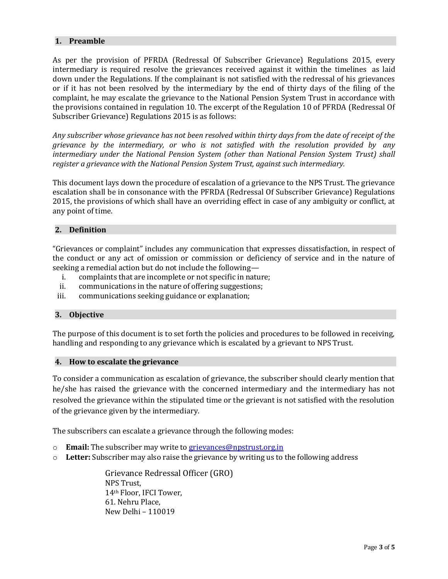#### <span id="page-2-0"></span>**1. Preamble**

As per the provision of PFRDA (Redressal Of Subscriber Grievance) Regulations 2015, every intermediary is required resolve the grievances received against it within the timelines as laid down under the Regulations. If the complainant is not satisfied with the redressal of his grievances or if it has not been resolved by the intermediary by the end of thirty days of the filing of the complaint, he may escalate the grievance to the National Pension System Trust in accordance with the provisions contained in regulation 10. The excerpt of the Regulation 10 of PFRDA (Redressal Of Subscriber Grievance) Regulations 2015 is as follows:

*Any subscriber whose grievance has not been resolved within thirty days from the date of receipt of the grievance by the intermediary, or who is not satisfied with the resolution provided by any intermediary under the National Pension System (other than National Pension System Trust) shall register a grievance with the National Pension System Trust, against such intermediary.*

This document lays down the procedure of escalation of a grievance to the NPS Trust. The grievance escalation shall be in consonance with the PFRDA (Redressal Of Subscriber Grievance) Regulations 2015, the provisions of which shall have an overriding effect in case of any ambiguity or conflict, at any point of time.

#### <span id="page-2-1"></span>**2. Definition**

"Grievances or complaint" includes any communication that expresses dissatisfaction, in respect of the conduct or any act of omission or commission or deficiency of service and in the nature of seeking a remedial action but do not include the following—

- i. complaints that are incomplete or not specific in nature;
- ii. communications in the nature of offering suggestions;
- iii. communications seeking guidance or explanation;

#### <span id="page-2-2"></span>**3. Objective**

The purpose of this document is to set forth the policies and procedures to be followed in receiving, handling and responding to any grievance which is escalated by a grievant to NPS Trust.

#### <span id="page-2-3"></span>**4. How to escalate the grievance**

To consider a communication as escalation of grievance, the subscriber should clearly mention that he/she has raised the grievance with the concerned intermediary and the intermediary has not resolved the grievance within the stipulated time or the grievant is not satisfied with the resolution of the grievance given by the intermediary.

The subscribers can escalate a grievance through the following modes:

- o **Email:** The subscriber may write to [grievances@npstrust.org.in](mailto:grievances@npstrust.org.in)
- o **Letter:** Subscriber may also raise the grievance by writing us to the following address

Grievance Redressal Officer (GRO) NPS Trust, 14th Floor, IFCI Tower, 61. Nehru Place, New Delhi – 110019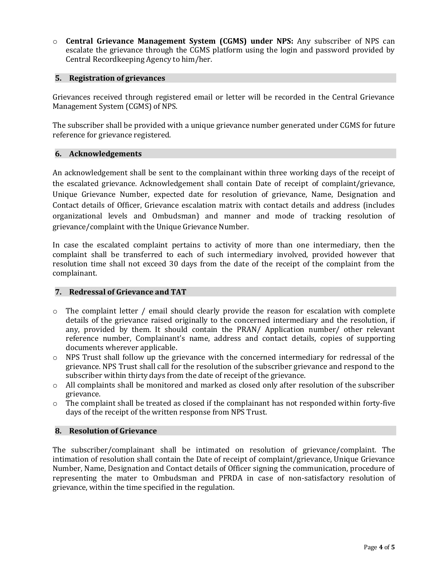o **Central Grievance Management System (CGMS) under NPS:** Any subscriber of NPS can escalate the grievance through the CGMS platform using the login and password provided by Central Recordkeeping Agency to him/her.

#### <span id="page-3-0"></span>**5. Registration of grievances**

Grievances received through registered email or letter will be recorded in the Central Grievance Management System (CGMS) of NPS.

The subscriber shall be provided with a unique grievance number generated under CGMS for future reference for grievance registered.

#### <span id="page-3-1"></span>**6. Acknowledgements**

An acknowledgement shall be sent to the complainant within three working days of the receipt of the escalated grievance. Acknowledgement shall contain Date of receipt of complaint/grievance, Unique Grievance Number, expected date for resolution of grievance, Name, Designation and Contact details of Officer, Grievance escalation matrix with contact details and address (includes organizational levels and Ombudsman) and manner and mode of tracking resolution of grievance/complaint with the Unique Grievance Number.

In case the escalated complaint pertains to activity of more than one intermediary, then the complaint shall be transferred to each of such intermediary involved, provided however that resolution time shall not exceed 30 days from the date of the receipt of the complaint from the complainant.

#### <span id="page-3-2"></span>**7. Redressal of Grievance and TAT**

- $\circ$  The complaint letter / email should clearly provide the reason for escalation with complete details of the grievance raised originally to the concerned intermediary and the resolution, if any, provided by them. It should contain the PRAN/ Application number/ other relevant reference number, Complainant's name, address and contact details, copies of supporting documents wherever applicable.
- o NPS Trust shall follow up the grievance with the concerned intermediary for redressal of the grievance. NPS Trust shall call for the resolution of the subscriber grievance and respond to the subscriber within thirty days from the date of receipt of the grievance.
- $\circ$  All complaints shall be monitored and marked as closed only after resolution of the subscriber grievance.
- o The complaint shall be treated as closed if the complainant has not responded within forty-five days of the receipt of the written response from NPS Trust.

#### <span id="page-3-3"></span>**8. Resolution of Grievance**

The subscriber/complainant shall be intimated on resolution of grievance/complaint. The intimation of resolution shall contain the Date of receipt of complaint/grievance, Unique Grievance Number, Name, Designation and Contact details of Officer signing the communication, procedure of representing the mater to Ombudsman and PFRDA in case of non-satisfactory resolution of grievance, within the time specified in the regulation.